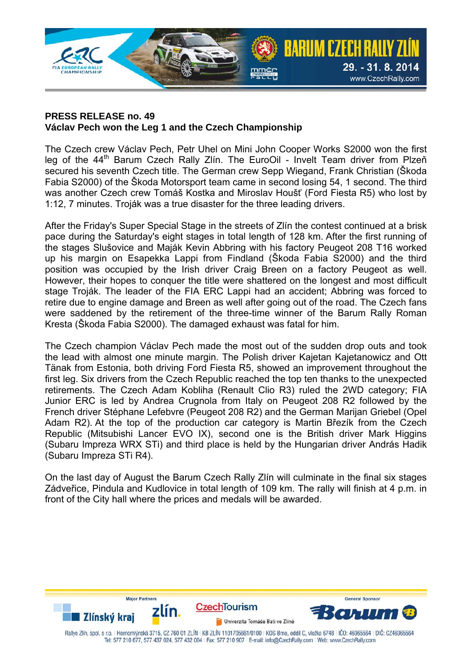

## **PRESS RELEASE no. 49 Václav Pech won the Leg 1 and the Czech Championship**

The Czech crew Václav Pech, Petr Uhel on Mini John Cooper Works S2000 won the first leg of the 44<sup>th</sup> Barum Czech Rally Zlín. The EuroOil - Invelt Team driver from Plzeň secured his seventh Czech title. The German crew Sepp Wiegand, Frank Christian (Škoda Fabia S2000) of the Škoda Motorsport team came in second losing 54, 1 second. The third was another Czech crew Tomáš Kostka and Miroslav Houšť (Ford Fiesta R5) who lost by 1:12, 7 minutes. Troják was a true disaster for the three leading drivers.

After the Friday's Super Special Stage in the streets of Zlín the contest continued at a brisk pace during the Saturday's eight stages in total length of 128 km. After the first running of the stages Slušovice and Maják Kevin Abbring with his factory Peugeot 208 T16 worked up his margin on Esapekka Lappi from Findland (Škoda Fabia S2000) and the third position was occupied by the Irish driver Craig Breen on a factory Peugeot as well. However, their hopes to conquer the title were shattered on the longest and most difficult stage Troják. The leader of the FIA ERC Lappi had an accident; Abbring was forced to retire due to engine damage and Breen as well after going out of the road. The Czech fans were saddened by the retirement of the three-time winner of the Barum Rally Roman Kresta (Škoda Fabia S2000). The damaged exhaust was fatal for him.

The Czech champion Václav Pech made the most out of the sudden drop outs and took the lead with almost one minute margin. The Polish driver Kajetan Kajetanowicz and Ott Tänak from Estonia, both driving Ford Fiesta R5, showed an improvement throughout the first leg. Six drivers from the Czech Republic reached the top ten thanks to the unexpected retirements. The Czech Adam Kobliha (Renault Clio R3) ruled the 2WD category; FIA Junior ERC is led by Andrea Crugnola from Italy on Peugeot 208 R2 followed by the French driver Stéphane Lefebvre (Peugeot 208 R2) and the German Marijan Griebel (Opel Adam R2). At the top of the production car category is Martin Březík from the Czech Republic (Mitsubishi Lancer EVO IX), second one is the British driver Mark Higgins (Subaru Impreza WRX STi) and third place is held by the Hungarian driver András Hadik (Subaru Impreza STi R4).

On the last day of August the Barum Czech Rally Zlín will culminate in the final six stages Zádveřice, Pindula and Kudlovice in total length of 109 km. The rally will finish at 4 p.m. in front of the City hall where the prices and medals will be awarded.